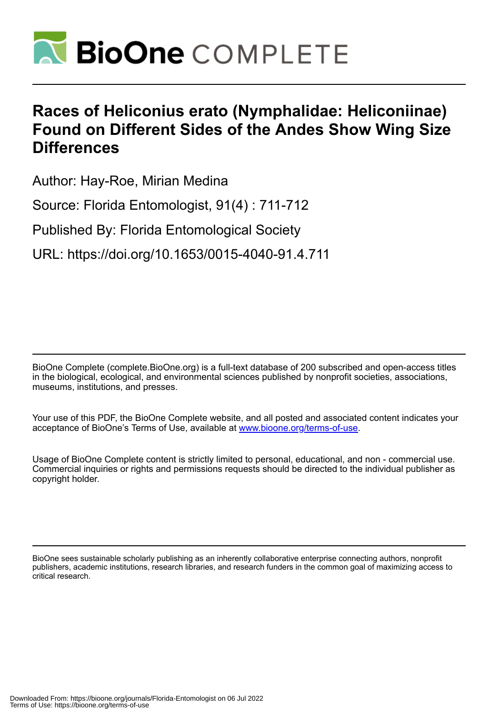

## **Races of Heliconius erato (Nymphalidae: Heliconiinae) Found on Different Sides of the Andes Show Wing Size Differences**

Author: Hay-Roe, Mirian Medina

Source: Florida Entomologist, 91(4) : 711-712

Published By: Florida Entomological Society

URL: https://doi.org/10.1653/0015-4040-91.4.711

BioOne Complete (complete.BioOne.org) is a full-text database of 200 subscribed and open-access titles in the biological, ecological, and environmental sciences published by nonprofit societies, associations, museums, institutions, and presses.

Your use of this PDF, the BioOne Complete website, and all posted and associated content indicates your acceptance of BioOne's Terms of Use, available at www.bioone.org/terms-of-use.

Usage of BioOne Complete content is strictly limited to personal, educational, and non - commercial use. Commercial inquiries or rights and permissions requests should be directed to the individual publisher as copyright holder.

BioOne sees sustainable scholarly publishing as an inherently collaborative enterprise connecting authors, nonprofit publishers, academic institutions, research libraries, and research funders in the common goal of maximizing access to critical research.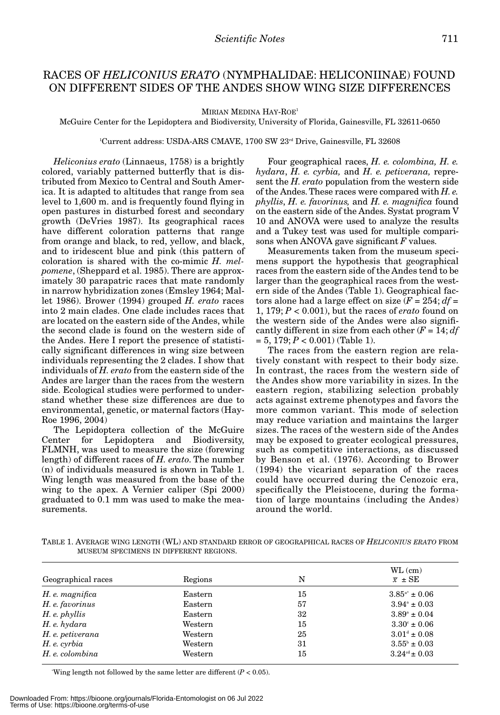## RACES OF *HELICONIUS ERATO* (NYMPHALIDAE: HELICONIINAE) FOUND ON DIFFERENT SIDES OF THE ANDES SHOW WING SIZE DIFFERENCES

MIRIAN MEDINA HAY-ROE<sup>1</sup>

McGuire Center for the Lepidoptera and Biodiversity, University of Florida, Gainesville, FL 32611-0650

 $\rm ^1C$ urrent address: USDA-ARS CMAVE, 1700 SW  $\rm 23^{\rm rd}$  Drive, Gainesville, FL 32608

*Heliconius erato* (Linnaeus, 1758) is a brightly colored, variably patterned butterfly that is distributed from Mexico to Central and South America. It is adapted to altitudes that range from sea level to 1,600 m. and is frequently found flying in open pastures in disturbed forest and secondary growth (DeVries 1987). Its geographical races have different coloration patterns that range from orange and black, to red, yellow, and black, and to iridescent blue and pink (this pattern of coloration is shared with the co-mimic *H. melpomene*, (Sheppard et al. 1985). There are approximately 30 parapatric races that mate randomly in narrow hybridization zones (Emsley 1964; Mallet 1986). Brower (1994) grouped *H. erato* races into 2 main clades. One clade includes races that are located on the eastern side of the Andes, while the second clade is found on the western side of the Andes. Here I report the presence of statistically significant differences in wing size between individuals representing the 2 clades. I show that individuals of *H. erato* from the eastern side of the Andes are larger than the races from the western side. Ecological studies were performed to understand whether these size differences are due to environmental, genetic, or maternal factors (Hay-Roe 1996, 2004)

The Lepidoptera collection of the McGuire Center for Lepidoptera and Biodiversity, FLMNH, was used to measure the size (forewing length) of different races of *H. erato*. The number (n) of individuals measured is shown in Table 1. Wing length was measured from the base of the wing to the apex. A Vernier caliper (Spi 2000) graduated to 0.1 mm was used to make the measurements.

Four geographical races, *H. e. colombina, H. e. hydara*, *H. e. cyrbia,* and *H. e. petiverana,* represent the *H. erato* population from the western side of the Andes. These races were compared with *H. e. phyllis*, *H. e. favorinus,* and *H. e. magnifica* found on the eastern side of the Andes. Systat program V 10 and ANOVA were used to analyze the results and a Tukey test was used for multiple comparisons when ANOVA gave significant *F* values.

Measurements taken from the museum specimens support the hypothesis that geographical races from the eastern side of the Andes tend to be larger than the geographical races from the western side of the Andes (Table 1). Geographical factors alone had a large effect on size  $(F = 254; df =$ 1, 179; *P* < 0.001), but the races of *erato* found on the western side of the Andes were also significantly different in size from each other  $(F = 14; df)$  $= 5, 179; P < 0.001$  (Table 1).

The races from the eastern region are relatively constant with respect to their body size. In contrast, the races from the western side of the Andes show more variability in sizes. In the eastern region, stabilizing selection probably acts against extreme phenotypes and favors the more common variant. This mode of selection may reduce variation and maintains the larger sizes. The races of the western side of the Andes may be exposed to greater ecological pressures, such as competitive interactions, as discussed by Benson et al. (1976). According to Brower (1994) the vicariant separation of the races could have occurred during the Cenozoic era, specifically the Pleistocene, during the formation of large mountains (including the Andes) around the world.

TABLE 1. AVERAGE WING LENGTH (WL) AND STANDARD ERROR OF GEOGRAPHICAL RACES OF *HELICONIUS ERATO* FROM MUSEUM SPECIMENS IN DIFFERENT REGIONS.

| Geographical races | Regions | N  | $WL$ (cm)<br>$\overline{x}$ $\pm$ SE |
|--------------------|---------|----|--------------------------------------|
| H. e. magnifica    | Eastern | 15 | $3.85^{4*} \pm 0.06$                 |
| H. e. favorinus    | Eastern | 57 | $3.94^{\circ} \pm 0.03$              |
| $H.$ e. phyllis    | Eastern | 32 | $3.89^{\circ} \pm 0.04$              |
| H. e. hydara       | Western | 15 | $3.30^{\circ} \pm 0.06$              |
| H. e. petiverana   | Western | 25 | $3.01^4 \pm 0.08$                    |
| H. e. cyrbia       | Western | 31 | $3.55^{\circ} \pm 0.03$              |
| H. e. colombina    | Western | 15 | $3.24^{\text{cd}} \pm 0.03$          |

\* Wing length not followed by the same letter are different (*P* < 0.05).